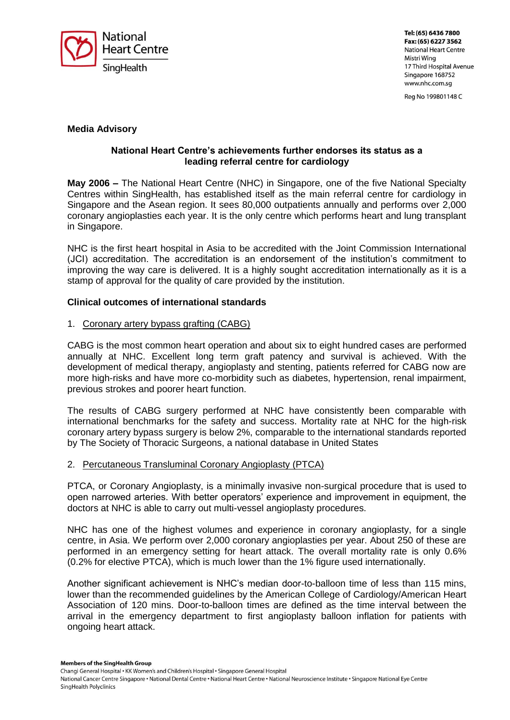

Tel: (65) 6436 7800 Fax: (65) 6227 3562 **National Heart Centre** Mistri Wing 17 Third Hospital Avenue Singapore 168752 www.nhc.com.sg

Reg No 199801148 C

# **Media Advisory**

## **National Heart Centre's achievements further endorses its status as a leading referral centre for cardiology**

**May 2006 –** The National Heart Centre (NHC) in Singapore, one of the five National Specialty Centres within SingHealth, has established itself as the main referral centre for cardiology in Singapore and the Asean region. It sees 80,000 outpatients annually and performs over 2,000 coronary angioplasties each year. It is the only centre which performs heart and lung transplant in Singapore.

NHC is the first heart hospital in Asia to be accredited with the Joint Commission International (JCI) accreditation. The accreditation is an endorsement of the institution's commitment to improving the way care is delivered. It is a highly sought accreditation internationally as it is a stamp of approval for the quality of care provided by the institution.

## **Clinical outcomes of international standards**

#### 1. Coronary artery bypass grafting (CABG)

CABG is the most common heart operation and about six to eight hundred cases are performed annually at NHC. Excellent long term graft patency and survival is achieved. With the development of medical therapy, angioplasty and stenting, patients referred for CABG now are more high-risks and have more co-morbidity such as diabetes, hypertension, renal impairment, previous strokes and poorer heart function.

The results of CABG surgery performed at NHC have consistently been comparable with international benchmarks for the safety and success. Mortality rate at NHC for the high-risk coronary artery bypass surgery is below 2%, comparable to the international standards reported by The Society of Thoracic Surgeons, a national database in United States

#### 2. Percutaneous Transluminal Coronary Angioplasty (PTCA)

PTCA, or Coronary Angioplasty, is a minimally invasive non-surgical procedure that is used to open narrowed arteries. With better operators' experience and improvement in equipment, the doctors at NHC is able to carry out multi-vessel angioplasty procedures.

NHC has one of the highest volumes and experience in coronary angioplasty, for a single centre, in Asia. We perform over 2,000 coronary angioplasties per year. About 250 of these are performed in an emergency setting for heart attack. The overall mortality rate is only 0.6% (0.2% for elective PTCA), which is much lower than the 1% figure used internationally.

Another significant achievement is NHC's median door-to-balloon time of less than 115 mins, lower than the recommended guidelines by the American College of Cardiology/American Heart Association of 120 mins. Door-to-balloon times are defined as the time interval between the arrival in the emergency department to first angioplasty balloon inflation for patients with ongoing heart attack.

Members of the SingHealth Group

Changi General Hospital • KK Women's and Children's Hospital • Singapore General Hospital

National Cancer Centre Singapore · National Dental Centre · National Heart Centre · National Neuroscience Institute · Singapore National Eye Centre SingHealth Polyclinics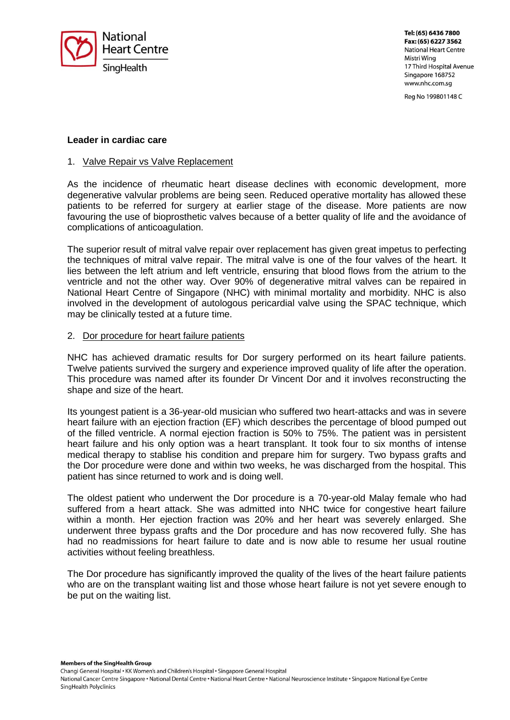

Tel: (65) 6436 7800 Fax: (65) 6227 3562 **National Heart Centre** Mistri Wing 17 Third Hospital Avenue Singapore 168752 www.nhc.com.sg

Reg No 199801148 C

### **Leader in cardiac care**

#### 1. Valve Repair vs Valve Replacement

As the incidence of rheumatic heart disease declines with economic development, more degenerative valvular problems are being seen. Reduced operative mortality has allowed these patients to be referred for surgery at earlier stage of the disease. More patients are now favouring the use of bioprosthetic valves because of a better quality of life and the avoidance of complications of anticoagulation.

The superior result of mitral valve repair over replacement has given great impetus to perfecting the techniques of mitral valve repair. The mitral valve is one of the four valves of the heart. It lies between the left atrium and left ventricle, ensuring that blood flows from the atrium to the ventricle and not the other way. Over 90% of degenerative mitral valves can be repaired in National Heart Centre of Singapore (NHC) with minimal mortality and morbidity. NHC is also involved in the development of autologous pericardial valve using the SPAC technique, which may be clinically tested at a future time.

#### 2. Dor procedure for heart failure patients

NHC has achieved dramatic results for Dor surgery performed on its heart failure patients. Twelve patients survived the surgery and experience improved quality of life after the operation. This procedure was named after its founder Dr Vincent Dor and it involves reconstructing the shape and size of the heart.

Its youngest patient is a 36-year-old musician who suffered two heart-attacks and was in severe heart failure with an ejection fraction (EF) which describes the percentage of blood pumped out of the filled ventricle. A normal ejection fraction is 50% to 75%. The patient was in persistent heart failure and his only option was a heart transplant. It took four to six months of intense medical therapy to stablise his condition and prepare him for surgery. Two bypass grafts and the Dor procedure were done and within two weeks, he was discharged from the hospital. This patient has since returned to work and is doing well.

The oldest patient who underwent the Dor procedure is a 70-year-old Malay female who had suffered from a heart attack. She was admitted into NHC twice for congestive heart failure within a month. Her ejection fraction was 20% and her heart was severely enlarged. She underwent three bypass grafts and the Dor procedure and has now recovered fully. She has had no readmissions for heart failure to date and is now able to resume her usual routine activities without feeling breathless.

The Dor procedure has significantly improved the quality of the lives of the heart failure patients who are on the transplant waiting list and those whose heart failure is not yet severe enough to be put on the waiting list.

Members of the SingHealth Group

Changi General Hospital • KK Women's and Children's Hospital • Singapore General Hospital

National Cancer Centre Singapore · National Dental Centre · National Heart Centre · National Neuroscience Institute · Singapore National Eye Centre SingHealth Polyclinics